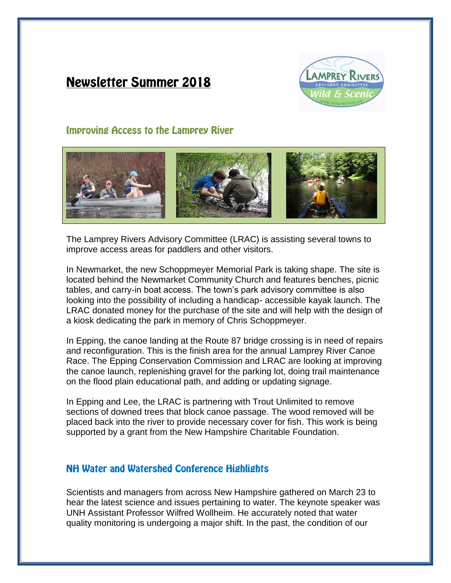# **Newsletter Summer 2018**



## **Improving Access to the Lamprey River**



The Lamprey Rivers Advisory Committee (LRAC) is assisting several towns to improve access areas for paddlers and other visitors.

In Newmarket, the new Schoppmeyer Memorial Park is taking shape. The site is located behind the Newmarket Community Church and features benches, picnic tables, and carry-in boat access. The town's park advisory committee is also looking into the possibility of including a handicap- accessible kayak launch. The LRAC donated money for the purchase of the site and will help with the design of a kiosk dedicating the park in memory of Chris Schoppmeyer.

In Epping, the canoe landing at the Route 87 bridge crossing is in need of repairs and reconfiguration. This is the finish area for the annual Lamprey River Canoe Race. The Epping Conservation Commission and LRAC are looking at improving the canoe launch, replenishing gravel for the parking lot, doing trail maintenance on the flood plain educational path, and adding or updating signage.

In Epping and Lee, the LRAC is partnering with Trout Unlimited to remove sections of downed trees that block canoe passage. The wood removed will be placed back into the river to provide necessary cover for fish. This work is being supported by a grant from the New Hampshire Charitable Foundation.

## **NH Water and Watershed Conference Highlights**

Scientists and managers from across New Hampshire gathered on March 23 to hear the latest science and issues pertaining to water. The keynote speaker was UNH Assistant Professor Wilfred Wollheim. He accurately noted that water quality monitoring is undergoing a major shift. In the past, the condition of our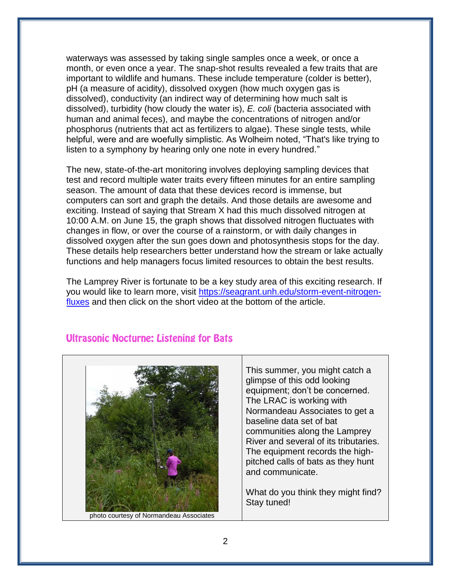waterways was assessed by taking single samples once a week, or once a month, or even once a year. The snap-shot results revealed a few traits that are important to wildlife and humans. These include temperature (colder is better), pH (a measure of acidity), dissolved oxygen (how much oxygen gas is dissolved), conductivity (an indirect way of determining how much salt is dissolved), turbidity (how cloudy the water is), *E. coli* (bacteria associated with human and animal feces), and maybe the concentrations of nitrogen and/or phosphorus (nutrients that act as fertilizers to algae). These single tests, while helpful, were and are woefully simplistic. As Wolheim noted, "That's like trying to listen to a symphony by hearing only one note in every hundred."

The new, state-of-the-art monitoring involves deploying sampling devices that test and record multiple water traits every fifteen minutes for an entire sampling season. The amount of data that these devices record is immense, but computers can sort and graph the details. And those details are awesome and exciting. Instead of saying that Stream X had this much dissolved nitrogen at 10:00 A.M. on June 15, the graph shows that dissolved nitrogen fluctuates with changes in flow, or over the course of a rainstorm, or with daily changes in dissolved oxygen after the sun goes down and photosynthesis stops for the day. These details help researchers better understand how the stream or lake actually functions and help managers focus limited resources to obtain the best results.

The Lamprey River is fortunate to be a key study area of this exciting research. If you would like to learn more, visit [https://seagrant.unh.edu/storm-event-nitrogen](https://seagrant.unh.edu/storm-event-nitrogen-fluxes)[fluxes](https://seagrant.unh.edu/storm-event-nitrogen-fluxes) and then click on the short video at the bottom of the article.

# photo courtesy of Normandeau Associates

### **Ultrasonic Nocturne: Listening for Bats**

This summer, you might catch a glimpse of this odd looking equipment; don't be concerned. The LRAC is working with Normandeau Associates to get a baseline data set of bat communities along the Lamprey River and several of its tributaries. The equipment records the highpitched calls of bats as they hunt and communicate.

What do you think they might find? Stay tuned!